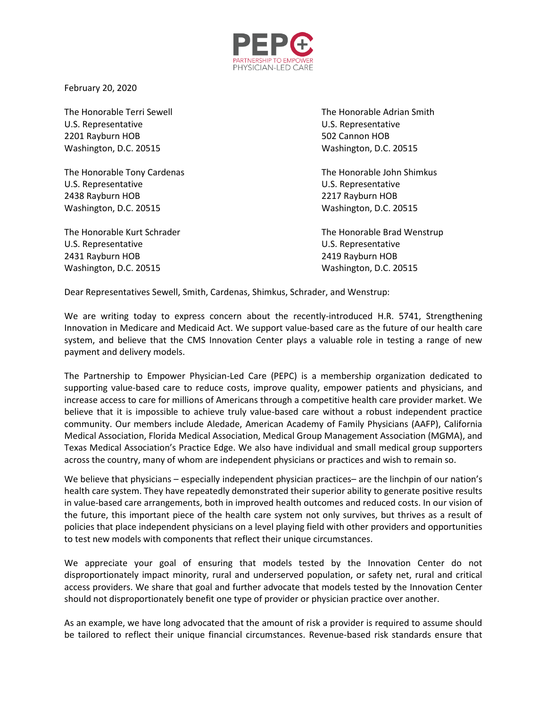

February 20, 2020

U.S. Representative U.S. Representative 2201 Rayburn HOB 502 Cannon HOB Washington, D.C. 20515 Washington, D.C. 20515

The Honorable Tony Cardenas The Honorable John Shimkus U.S. Representative U.S. Representative 2438 Rayburn HOB 2217 Rayburn HOB Washington, D.C. 20515 Washington, D.C. 20515

U.S. Representative U.S. Representative 2431 Rayburn HOB 2419 Rayburn HOB Washington, D.C. 20515 Washington, D.C. 20515

The Honorable Terri Sewell The Honorable Adrian Smith

The Honorable Kurt Schrader The Honorable Brad Wenstrup

Dear Representatives Sewell, Smith, Cardenas, Shimkus, Schrader, and Wenstrup:

We are writing today to express concern about the recently-introduced H.R. 5741, Strengthening Innovation in Medicare and Medicaid Act. We support value-based care as the future of our health care system, and believe that the CMS Innovation Center plays a valuable role in testing a range of new payment and delivery models.

The Partnership to Empower Physician-Led Care (PEPC) is a membership organization dedicated to supporting value-based care to reduce costs, improve quality, empower patients and physicians, and increase access to care for millions of Americans through a competitive health care provider market. We believe that it is impossible to achieve truly value-based care without a robust independent practice community. Our members include Aledade, American Academy of Family Physicians (AAFP), California Medical Association, Florida Medical Association, Medical Group Management Association (MGMA), and Texas Medical Association's Practice Edge. We also have individual and small medical group supporters across the country, many of whom are independent physicians or practices and wish to remain so.

We believe that physicians – especially independent physician practices– are the linchpin of our nation's health care system. They have repeatedly demonstrated their superior ability to generate positive results in value-based care arrangements, both in improved health outcomes and reduced costs. In our vision of the future, this important piece of the health care system not only survives, but thrives as a result of policies that place independent physicians on a level playing field with other providers and opportunities to test new models with components that reflect their unique circumstances.

We appreciate your goal of ensuring that models tested by the Innovation Center do not disproportionately impact minority, rural and underserved population, or safety net, rural and critical access providers. We share that goal and further advocate that models tested by the Innovation Center should not disproportionately benefit one type of provider or physician practice over another.

As an example, we have long advocated that the amount of risk a provider is required to assume should be tailored to reflect their unique financial circumstances. Revenue-based risk standards ensure that